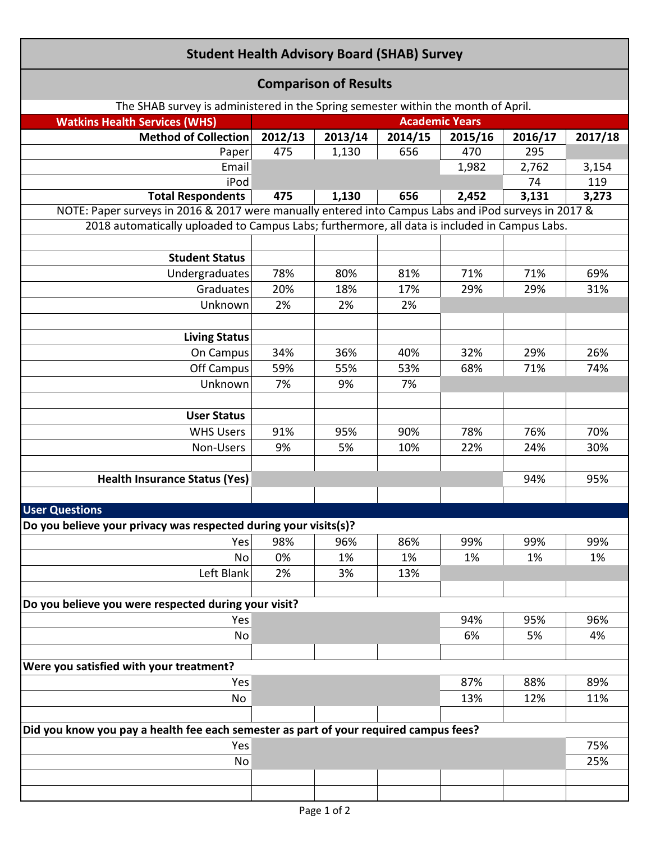| <b>Student Health Advisory Board (SHAB) Survey</b>                                                   |                       |         |         |         |         |         |  |  |  |  |
|------------------------------------------------------------------------------------------------------|-----------------------|---------|---------|---------|---------|---------|--|--|--|--|
| <b>Comparison of Results</b>                                                                         |                       |         |         |         |         |         |  |  |  |  |
| The SHAB survey is administered in the Spring semester within the month of April.                    |                       |         |         |         |         |         |  |  |  |  |
| <b>Watkins Health Services (WHS)</b>                                                                 | <b>Academic Years</b> |         |         |         |         |         |  |  |  |  |
| <b>Method of Collection</b>                                                                          | 2012/13               | 2013/14 | 2014/15 | 2015/16 | 2016/17 | 2017/18 |  |  |  |  |
| Paper                                                                                                | 475                   | 1,130   | 656     | 470     | 295     |         |  |  |  |  |
| Email                                                                                                |                       |         |         | 1,982   | 2,762   | 3,154   |  |  |  |  |
| iPod                                                                                                 |                       |         |         |         | 74      | 119     |  |  |  |  |
| <b>Total Respondents</b>                                                                             | 475                   | 1,130   | 656     | 2,452   | 3,131   | 3,273   |  |  |  |  |
| NOTE: Paper surveys in 2016 & 2017 were manually entered into Campus Labs and iPod surveys in 2017 & |                       |         |         |         |         |         |  |  |  |  |
| 2018 automatically uploaded to Campus Labs; furthermore, all data is included in Campus Labs.        |                       |         |         |         |         |         |  |  |  |  |
| <b>Student Status</b>                                                                                |                       |         |         |         |         |         |  |  |  |  |
| Undergraduates                                                                                       | 78%                   | 80%     | 81%     | 71%     | 71%     | 69%     |  |  |  |  |
| Graduates                                                                                            | 20%                   | 18%     | 17%     | 29%     | 29%     | 31%     |  |  |  |  |
| Unknown                                                                                              | 2%                    | 2%      | 2%      |         |         |         |  |  |  |  |
|                                                                                                      |                       |         |         |         |         |         |  |  |  |  |
| <b>Living Status</b>                                                                                 |                       |         |         |         |         |         |  |  |  |  |
| On Campus                                                                                            | 34%                   | 36%     | 40%     | 32%     | 29%     | 26%     |  |  |  |  |
| Off Campus                                                                                           | 59%                   | 55%     | 53%     | 68%     | 71%     | 74%     |  |  |  |  |
| Unknown                                                                                              | 7%                    | 9%      | 7%      |         |         |         |  |  |  |  |
|                                                                                                      |                       |         |         |         |         |         |  |  |  |  |
| <b>User Status</b>                                                                                   |                       |         |         |         |         |         |  |  |  |  |
| <b>WHS Users</b>                                                                                     | 91%                   | 95%     | 90%     | 78%     | 76%     | 70%     |  |  |  |  |
| Non-Users                                                                                            | 9%                    | 5%      | 10%     | 22%     | 24%     | 30%     |  |  |  |  |
|                                                                                                      |                       |         |         |         |         |         |  |  |  |  |
| <b>Health Insurance Status (Yes)</b>                                                                 |                       |         |         |         | 94%     | 95%     |  |  |  |  |
|                                                                                                      |                       |         |         |         |         |         |  |  |  |  |
| <b>User Questions</b>                                                                                |                       |         |         |         |         |         |  |  |  |  |
| Do you believe your privacy was respected during your visits(s)?                                     |                       |         |         |         |         |         |  |  |  |  |
| Yes                                                                                                  | 98%                   | 96%     | 86%     | 99%     | 99%     | 99%     |  |  |  |  |
| No                                                                                                   | 0%                    | 1%      | 1%      | 1%      | 1%      | 1%      |  |  |  |  |
| Left Blank                                                                                           | 2%                    | 3%      | 13%     |         |         |         |  |  |  |  |
|                                                                                                      |                       |         |         |         |         |         |  |  |  |  |
| Do you believe you were respected during your visit?                                                 |                       |         |         |         |         |         |  |  |  |  |
| Yes                                                                                                  |                       |         |         | 94%     | 95%     | 96%     |  |  |  |  |
| No                                                                                                   |                       |         |         | 6%      | 5%      | 4%      |  |  |  |  |
|                                                                                                      |                       |         |         |         |         |         |  |  |  |  |
| Were you satisfied with your treatment?                                                              |                       |         |         |         |         |         |  |  |  |  |
| Yes                                                                                                  |                       |         |         | 87%     | 88%     | 89%     |  |  |  |  |
| No                                                                                                   |                       |         |         | 13%     | 12%     | 11%     |  |  |  |  |
|                                                                                                      |                       |         |         |         |         |         |  |  |  |  |
| Did you know you pay a health fee each semester as part of your required campus fees?                |                       |         |         |         |         |         |  |  |  |  |
| Yes                                                                                                  |                       |         |         |         |         | 75%     |  |  |  |  |
| No                                                                                                   |                       |         |         |         |         | 25%     |  |  |  |  |
|                                                                                                      |                       |         |         |         |         |         |  |  |  |  |
|                                                                                                      |                       |         |         |         |         |         |  |  |  |  |